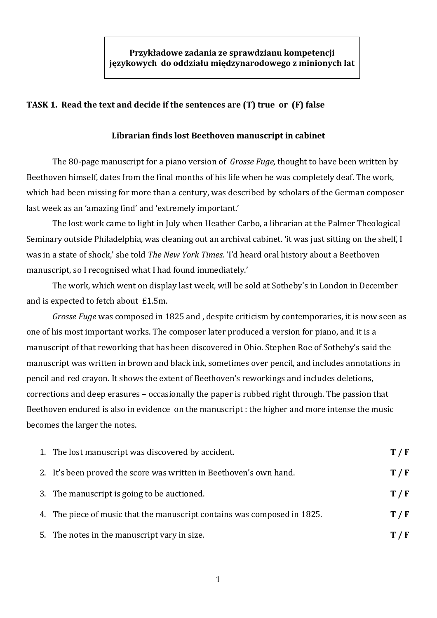## **TASK 1. Read the text and decide if the sentences are (T) true or (F) false**

## **Librarian finds lost Beethoven manuscript in cabinet**

The 80-page manuscript for a piano version of *Grosse Fuge,* thought to have been written by Beethoven himself, dates from the final months of his life when he was completely deaf. The work, which had been missing for more than a century, was described by scholars of the German composer last week as an 'amazing find' and 'extremely important.'

The lost work came to light in July when Heather Carbo, a librarian at the Palmer Theological Seminary outside Philadelphia, was cleaning out an archival cabinet. 'it was just sitting on the shelf, I was in a state of shock,' she told *The New York Times.* 'I'd heard oral history about a Beethoven manuscript, so I recognised what I had found immediately.'

The work, which went on display last week, will be sold at Sotheby's in London in December and is expected to fetch about £1.5m.

*Grosse Fuge* was composed in 1825 and , despite criticism by contemporaries, it is now seen as one of his most important works. The composer later produced a version for piano, and it is a manuscript of that reworking that has been discovered in Ohio. Stephen Roe of Sotheby's said the manuscript was written in brown and black ink, sometimes over pencil, and includes annotations in pencil and red crayon. It shows the extent of Beethoven's reworkings and includes deletions, corrections and deep erasures – occasionally the paper is rubbed right through. The passion that Beethoven endured is also in evidence on the manuscript : the higher and more intense the music becomes the larger the notes.

| 1. The lost manuscript was discovered by accident.                       | T/F   |
|--------------------------------------------------------------------------|-------|
| 2. It's been proved the score was written in Beethoven's own hand.       | T / F |
| 3. The manuscript is going to be auctioned.                              | T/F   |
| 4. The piece of music that the manuscript contains was composed in 1825. | T / F |
| 5. The notes in the manuscript vary in size.                             | T / F |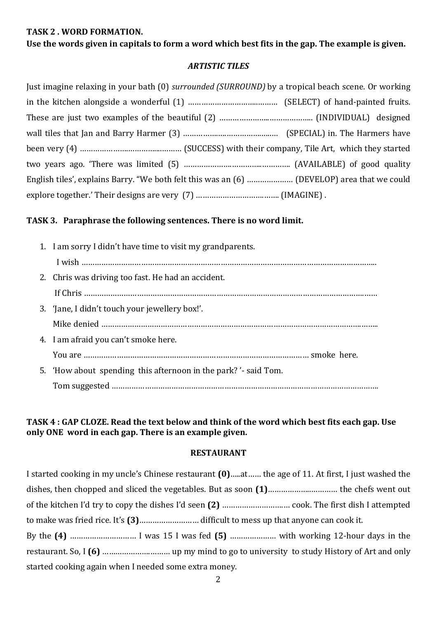### **TASK 2 . WORD FORMATION.**

### **Use the words given in capitals to form a word which best fits in the gap. The example is given.**

## *ARTISTIC TILES*

Just imagine relaxing in your bath (0) *surrounded (SURROUND)* by a tropical beach scene. Or working in the kitchen alongside a wonderful (1) …………………………..……… (SELECT) of hand-painted fruits. These are just two examples of the beautiful (2) …………………..……………….. (INDIVIDUAL) designed wall tiles that Jan and Barry Harmer (3) …………….….…………….…..… (SPECIAL) in. The Harmers have been very (4) ………………….…………....……… (SUCCESS) with their company, Tile Art, which they started two years ago. 'There was limited (5) ………………….…………..…………. (AVAILABLE) of good quality English tiles', explains Barry. "We both felt this was an (6) ………………… (DEVELOP) area that we could explore together.' Their designs are very (7) ………………………….……. (IMAGINE) .

# **TASK 3. Paraphrase the following sentences. There is no word limit.**

1. I am sorry I didn't have time to visit my grandparents. I wish …………………………………………………………………………………………………………………….. 2. Chris was driving too fast. He had an accident. If Chris ……………………………………………………………………………………………………………….…… 3. 'Jane, I didn't touch your jewellery box!'. Mike denied ……………………………………………………………………………………………………….…….. 4. I am afraid you can't smoke here. You are ………………………………………………………………………………………… smoke here. 5. 'How about spending this afternoon in the park? '- said Tom. Tom suggested ………………………………………………………………………………………………………….

### **TASK 4 : GAP CLOZE. Read the text below and think of the word which best fits each gap. Use only ONE word in each gap. There is an example given.**

### **RESTAURANT**

| I started cooking in my uncle's Chinese restaurant (0)at the age of 11. At first, I just washed the |
|-----------------------------------------------------------------------------------------------------|
|                                                                                                     |
|                                                                                                     |
|                                                                                                     |
|                                                                                                     |
|                                                                                                     |
| started cooking again when I needed some extra money.                                               |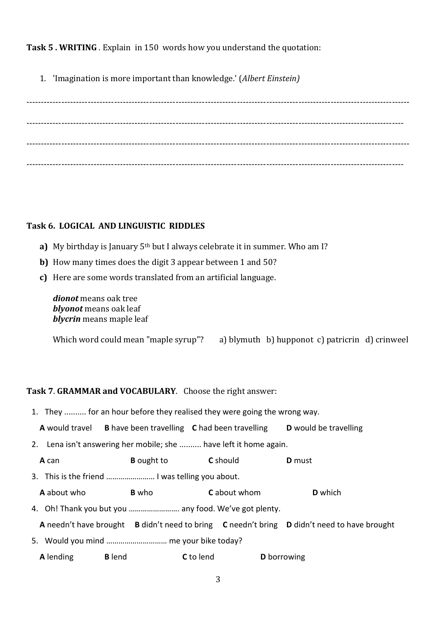**Task 5 . WRITING** . Explain in 150 words how you understand the quotation:

1. 'Imagination is more important than knowledge.' (*Albert Einstein)*

----------------------------------------------------------------------------------------------------------------------------------- --------------------------------------------------------------------------------------------------------------------------------- ----------------------------------------------------------------------------------------------------------------------------------- ---------------------------------------------------------------------------------------------------------------------------------

# **Task 6. LOGICAL AND LINGUISTIC RIDDLES**

- **a)** My birthday is January 5<sup>th</sup> but I always celebrate it in summer. Who am I?
- **b)** How many times does the digit 3 appear between 1 and 50?
- **c)** Here are some words translated from an artificial language.

*dionot* means oak tree *blyonot* means oak leaf *blycrin* means maple leaf

Which word could mean "maple syrup"? a) blymuth b) hupponot c) patricrin d) crinweel

# **Task 7**. **GRAMMAR and VOCABULARY**. Choose the right answer:

1. They .......... for an hour before they realised they were going the wrong way.

**A** would travel **B** have been travelling **C** had been travelling **D** would be travelling

- 2. Lena isn't answering her mobile; she .......... have left it home again.
	- **A** can **B** ought to **C** should **D** must
- 3. This is the friend …………………… I was telling you about.
- **A** about who **B** who **C** about whom **D** which
- 4. Oh! Thank you but you ……………………. any food. We've got plenty.
- **A** needn't have brought **B** didn't need to bring **C** needn't bring **D** didn't need to have brought
- 5. Would you mind ………………………… me your bike today?
- **A** lending **B** lend **C** to lend **D** borrowing